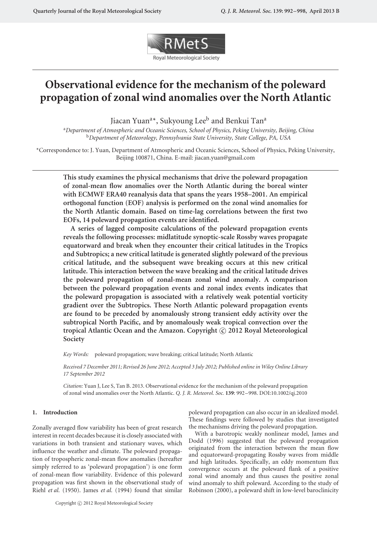

# **Observational evidence for the mechanism of the poleward propagation of zonal wind anomalies over the North Atlantic**

Jiacan Yuan<sup>a</sup>\*, Sukyoung Lee<sup>b</sup> and Benkui Tan<sup>a</sup>

<sup>a</sup>*Department of Atmospheric and Oceanic Sciences, School of Physics, Peking University, Beijing, China* <sup>b</sup>*Department of Meteorology, Pennsylvania State University, State College, PA, USA*

\*Correspondence to: J. Yuan, Department of Atmospheric and Oceanic Sciences, School of Physics, Peking University, Beijing 100871, China. E-mail: jiacan.yuan@gmail.com

**This study examines the physical mechanisms that drive the poleward propagation of zonal-mean flow anomalies over the North Atlantic during the boreal winter with ECMWF ERA40 reanalysis data that spans the years 1958–2001. An empirical orthogonal function (EOF) analysis is performed on the zonal wind anomalies for the North Atlantic domain. Based on time-lag correlations between the first two EOFs, 14 poleward propagation events are identified.**

**A series of lagged composite calculations of the poleward propagation events reveals the following processes: midlatitude synoptic-scale Rossby waves propagate equatorward and break when they encounter their critical latitudes in the Tropics and Subtropics; a new critical latitude is generated slightly poleward of the previous critical latitude, and the subsequent wave breaking occurs at this new critical latitude. This interaction between the wave breaking and the critical latitude drives the poleward propagation of zonal-mean zonal wind anomaly. A comparison between the poleward propagation events and zonal index events indicates that the poleward propagation is associated with a relatively weak potential vorticity gradient over the Subtropics. These North Atlantic poleward propagation events are found to be preceded by anomalously strong transient eddy activity over the subtropical North Pacific, and by anomalously weak tropical convection over the tropical Atlantic Ocean and the Amazon. Copyright c 2012 Royal Meteorological Society**

*Key Words:* poleward propagation; wave breaking; critical latitude; North Atlantic

*Received 7 December 2011; Revised 26 June 2012; Accepted 3 July 2012; Published online in Wiley Online Library 17 September 2012*

*Citation:* Yuan J, Lee S, Tan B. 2013. Observational evidence for the mechanism of the poleward propagation of zonal wind anomalies over the North Atlantic. *Q. J. R. Meteorol. Soc.* **139**: 992–998. DOI:10.1002/qj.2010

# **1. Introduction**

Zonally averaged flow variability has been of great research interest in recent decades because it is closely associated with variations in both transient and stationary waves, which influence the weather and climate. The poleward propagation of tropospheric zonal-mean flow anomalies (hereafter simply referred to as 'poleward propagation') is one form of zonal-mean flow variability. Evidence of this poleward propagation was first shown in the observational study of Riehl *et al.* (1950). James *et al.* (1994) found that similar poleward propagation can also occur in an idealized model. These findings were followed by studies that investigated the mechanisms driving the poleward propagation.

With a barotropic weakly nonlinear model, James and Dodd (1996) suggested that the poleward propagation originated from the interaction between the mean flow and equatorward-propagating Rossby waves from middle and high latitudes. Specifically, an eddy momentum flux convergence occurs at the poleward flank of a positive zonal wind anomaly and thus causes the positive zonal wind anomaly to shift poleward. According to the study of Robinson (2000), a poleward shift in low-level baroclinicity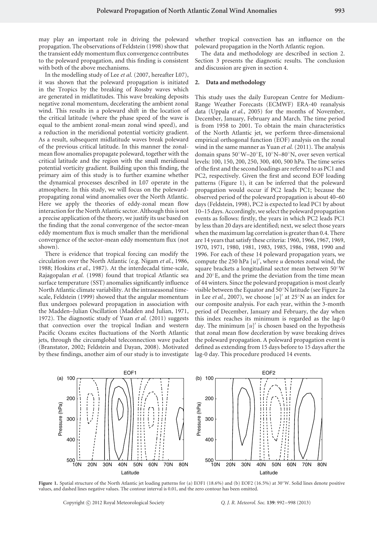may play an important role in driving the poleward propagation. The observations of Feldstein (1998) show that the transient eddy momentum flux convergence contributes to the poleward propagation, and this finding is consistent with both of the above mechanisms.

In the modelling study of Lee *et al.* (2007, hereafter L07), it was shown that the poleward propagation is initiated in the Tropics by the breaking of Rossby waves which are generated in midlatitudes. This wave breaking deposits negative zonal momentum, decelerating the ambient zonal wind. This results in a poleward shift in the location of the critical latitude (where the phase speed of the wave is equal to the ambient zonal-mean zonal wind speed), and a reduction in the meridional potential vorticity gradient. As a result, subsequent midlatitude waves break poleward of the previous critical latitude. In this manner the zonalmean flow anomalies propagate poleward, together with the critical latitude and the region with the small meridional potential vorticity gradient. Building upon this finding, the primary aim of this study is to further examine whether the dynamical processes described in L07 operate in the atmosphere. In this study, we will focus on the polewardpropagating zonal wind anomalies over the North Atlantic. Here we apply the theories of eddy-zonal mean flow interaction for the North Atlantic sector. Although this is not a precise application of the theory, we justify its use based on the finding that the zonal convergence of the sector-mean eddy momentum flux is much smaller than the meridional convergence of the sector-mean eddy momentum flux (not shown).

There is evidence that tropical forcing can modify the circulation over the North Atlantic (e.g. Nigam *et al.*, 1986, 1988; Hoskins *et al.*, 1987). At the interdecadal time-scale, Rajagopalan *et al.* (1998) found that tropical Atlantic sea surface temperature (SST) anomalies significantly influence North Atlantic climate variability. At the intraseasonal timescale, Feldstein (1999) showed that the angular momentum flux undergoes poleward propagation in association with the Madden–Julian Oscillation (Madden and Julian, 1971, 1972). The diagnostic study of Yuan *et al.* (2011) suggests that convection over the tropical Indian and western Pacific Oceans excites fluctuations of the North Atlantic jets, through the circumglobal teleconnection wave packet (Branstator, 2002; Feldstein and Dayan, 2008). Motivated by these findings, another aim of our study is to investigate whether tropical convection has an influence on the poleward propagation in the North Atlantic region.

The data and methodology are described in section 2. Section 3 presents the diagnostic results. The conclusion and discussion are given in section 4.

#### **2. Data and methodology**

This study uses the daily European Centre for Medium-Range Weather Forecasts (ECMWF) ERA-40 reanalysis data (Uppala *et al.*, 2005) for the months of November, December, January, February and March. The time period is from 1958 to 2001. To obtain the main characteristics of the North Atlantic jet, we perform three-dimensional empirical orthogonal function (EOF) analysis on the zonal wind in the same manner as Yuan *et al.* (2011). The analysis domain spans 50◦W–20◦E, 10◦N–80◦N, over seven vertical levels: 100, 150, 200, 250, 300, 400, 500 hPa. The time series of the first and the second loadings are referred to as PC1 and PC2, respectively. Given the first and second EOF loading patterns (Figure 1), it can be inferred that the poleward propagation would occur if PC2 leads PC1; because the observed period of the poleward propagation is about 40–60 days (Feldstein, 1998), PC2 is expected to lead PC1 by about 10–15 days. Accordingly, we select the poleward propagation events as follows: firstly, the years in which PC2 leads PC1 by less than 20 days are identified; next, we select those years when the maximum lag correlation is greater than 0.4. There are 14 years that satisfy these criteria: 1960, 1966, 1967, 1969, 1970, 1971, 1980, 1981, 1983, 1985, 1986, 1988, 1990 and 1996. For each of these 14 poleward propagation years, we compute the 250 hPa [*u*] , where *u* denotes zonal wind, the square brackets a longitudinal sector mean between 50◦W and 20◦E, and the prime the deviation from the time mean of 44 winters. Since the poleward propagation is most clearly visible between the Equator and 50◦N latitude (see Figure 2a in Lee *et al.*, 2007), we choose  $\lceil u \rceil'$  at 25°N as an index for our composite analysis. For each year, within the 3-month period of December, January and February, the day when this index reaches its minimum is regarded as the lag-0 day. The minimum  $[u]'$  is chosen based on the hypothesis that zonal mean flow deceleration by wave breaking drives the poleward propagation. A poleward propagation event is defined as extending from 15 days before to 15 days after the lag-0 day. This procedure produced 14 events.



**Figure 1.** Spatial structure of the North Atlantic jet loading patterns for (a) EOF1 (18*.*6%) and (b) EOF2 (16*.*5%) at 30◦W. Solid lines denote positive values, and dashed lines negative values. The contour interval is 0.01, and the zero contour has been omitted.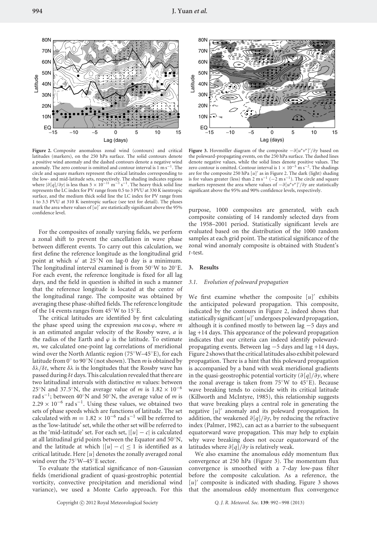

**Figure 2.** Composite anomalous zonal wind (contours) and critical latitudes (markers), on the 250 hPa surface. The solid contours denote a positive wind anomaly and the dashed contours denote a negative wind anomaly. The zero contour is omitted and contour interval is  $1 \text{ m s}^{-1}$ . The circle and square markers represent the critical latitudes corresponding to the low- and mid-latitude sets, respectively. The shading indicates regions where  $|\partial[q]/\partial y|$  is less than  $5 \times 10^{-11}$  m<sup>-1</sup> s<sup>-1</sup>. The heavy thick solid line represents the LC index for PV range from 0.5 to 3 PVU at 330 K isentropic surface, and the medium thick solid line the LC index for PV range from 1 to 3.5 PVU at 310 K isentropic surface (see text for detail). The pluses mark the area where values of  $\left[\overline{u}\right]'$  are statistically significant above the 95% confidence level.

For the composites of zonally varying fields, we perform a zonal shift to prevent the cancellation in wave phase between different events. To carry out this calculation, we first define the reference longitude as the longitudinal grid point at which  $u'$  at 25<sup>°</sup>N on lag-0 day is a minimum. The longitudinal interval examined is from 50◦W to 20◦E. For each event, the reference longitude is fixed for all lag days, and the field in question is shifted in such a manner that the reference longitude is located at the centre of the longitudinal range. The composite was obtained by averaging these phase-shifted fields. The reference longitude of the 14 events ranges from 45◦W to 15◦E.

The critical latitudes are identified by first calculating the phase speed using the expression  $ma \cos \varphi$ , where  $m$ is an estimated angular velocity of the Rossby wave, *a* is the radius of the Earth and  $\varphi$  is the latitude. To estimate *m*, we calculated one-point lag correlations of meridional wind over the North Atlantic region (75◦W–45◦E), for each latitude from 0◦ to 90◦N (not shown). Then *m* is obtained by *δλ/δt*, where *δλ* is the longitudes that the Rossby wave has passed during *δt* days. This calculation revealed that there are two latitudinal intervals with distinctive *m* values: between 25<sup>°</sup>N and 37.5<sup>°</sup>N, the average value of *m* is  $1.82 \times 10^{-6}$ rad s−1; between 40◦N and 50◦N, the average value of *m* is  $2.29 \times 10^{-6}$  rad s<sup>-1</sup>. Using these values, we obtained two sets of phase speeds which are functions of latitude. The set calculated with  $m = 1.82 \times 10^{-6}$  rad s<sup>-1</sup> will be referred to as the 'low-latitude' set, while the other set will be referred to as the 'mid-latitude' set. For each set,  $|u| - c$  is calculated at all latitudinal grid points between the Equator and 50◦N, and the latitude at which  $| [u] - c | \leq 1$  is identified as a critical latitude. Here [*u*] denotes the zonally averaged zonal wind over the 75°W–45°E sector.

To evaluate the statistical significance of non-Gaussian fields (meridional gradient of quasi-geostrophic potential vorticity, convective precipitation and meridional wind variance), we used a Monte Carlo approach. For this



**Figure 3.** Hovmoller diagram of the composite  $-\frac{\partial [u^*v^*]'}{\partial y}$  based on the poleward-propagating events, on the 250 hPa surface. The dashed lines denote negative values, while the solid lines denote positive values. The zero contour is omitted. Contour interval is  $1 \times 10^{-5}$  m s<sup>-2</sup>. The shadings are for the composite 250 hPa [u]' as in Figure 2. The dark (light) shading is for values greater (less) than 2 m s<sup>-1</sup> (−2 m s<sup>-1</sup>). The circle and square markers represent the area where values of −*∂*[*u*∗*v*∗] */∂y* are statistically significant above the 95% and 90% confidence levels, respectively.

purpose, 1000 composites are generated, with each composite consisting of 14 randomly selected days from the 1958–2001 period. Statistically significant levels are evaluated based on the distribution of the 1000 random samples at each grid point. The statistical significance of the zonal wind anomaly composite is obtained with Student's *t*-test.

#### **3. Results**

#### *3.1. Evolution of poleward propagation*

We first examine whether the composite  $[u]'$  exhibits the anticipated poleward propagation. This composite, indicated by the contours in Figure 2, indeed shows that statistically significant  $[u]'$  undergoes poleward propagation, although it is confined mostly to between lag −5 days and lag +14 days. This appearance of the poleward propagation indicates that our criteria can indeed identify polewardpropagating events. Between lag −5 days and lag +14 days, Figure 2 shows that the critical latitudes also exhibit poleward propagation. There is a hint that this poleward propagation is accompanied by a band with weak meridional gradients in the quasi-geostrophic potential vorticity (*∂*[*q*]*/∂y*, where the zonal average is taken from 75◦W to 45◦E). Because wave breaking tends to coincide with its critical latitude (Killworth and McIntyre, 1985), this relationship suggests that wave breaking plays a central role in generating the negative [u]' anomaly and its poleward propagation. In addition, the weakened *∂*[*q*]*/∂y*, by reducing the refractive index (Palmer, 1982), can act as a barrier to the subsequent equatorward wave propagation. This may help to explain why wave breaking does not occur equatorward of the latitudes where *∂*[*q*]*/∂y* is relatively weak.

We also examine the anomalous eddy momentum flux convergence at 250 hPa (Figure 3). The momentum flux convergence is smoothed with a 7-day low-pass filter before the composite calculation. As a reference, the [u]' composite is indicated with shading. Figure 3 shows that the anomalous eddy momentum flux convergence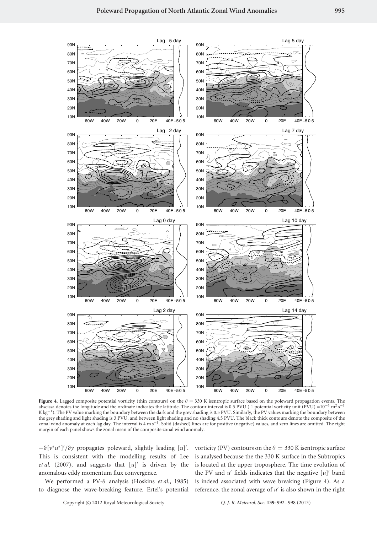

**Figure 4.** Lagged composite potential vorticity (thin contours) on the *θ* = 330 K isentropic surface based on the poleward propagation events. The abscissa denotes the longitude and the ordinate indicates the latitude. The contour interval is 0.5 PVU (1 potential vorticity unit (PVU) =10<sup>-6</sup> m<sup>2</sup> s<sup>-1</sup> K kg−1). The PV value marking the boundary between the dark and the grey shading is 0.5 PVU. Similarly, the PV values marking the boundary between the grey shading and light shading is 3 PVU, and between light shading and no shading 4.5 PVU. The black thick contours denote the composite of the zonal wind anomaly at each lag day. The interval is 4 m s−1. Solid (dashed) lines are for positive (negative) values, and zero lines are omitted. The right margin of each panel shows the zonal mean of the composite zonal wind anomaly.

−*∂*[*v*∗*u*∗] */∂y* propagates poleward, slightly leading [*u*] . This is consistent with the modelling results of Lee *et al.* (2007), and suggests that  $[u]'$  is driven by the anomalous eddy momentum flux convergence.

We performed a PV-*θ* analysis (Hoskins *et al.*, 1985) to diagnose the wave-breaking feature. Ertel's potential vorticity (PV) contours on the  $\theta = 330$  K isentropic surface is analysed because the the 330 K surface in the Subtropics is located at the upper troposphere. The time evolution of the PV and  $u'$  fields indicates that the negative  $[u]'$  band is indeed associated with wave breaking (Figure 4). As a reference, the zonal average of *u* is also shown in the right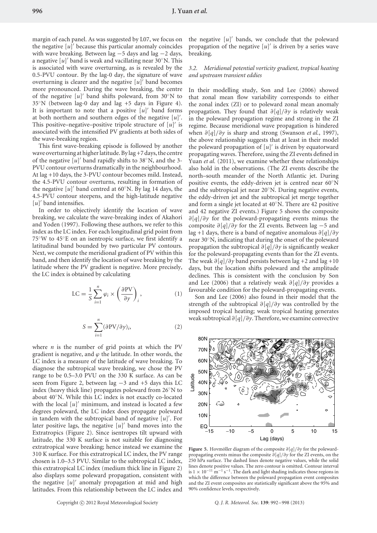margin of each panel. As was suggested by L07, we focus on the negative  $[u]'$  because this particular anomaly coincides with wave breaking. Between lag -5 days and lag -2 days, a negative  $[u]'$  band is weak and vacillating near 30 $\degree$ N. This is associated with wave overturning, as is revealed by the 0.5-PVU contour. By the lag-0 day, the signature of wave overturning is clearer and the negative  $[u]'$  band becomes more pronounced. During the wave breaking, the centre of the negative  $[u]'$  band shifts poleward, from 30 $\degree$ N to 35◦N (between lag-0 day and lag +5 days in Figure 4). It is important to note that a positive  $[u]'$  band forms at both northern and southern edges of the negative [*u*] . This positive–negative–positive tripole structure of  $[u]'$  is associated with the intensified PV gradients at both sides of the wave-breaking region.

This first wave-breaking episode is followed by another wave overturning at higher latitude. By lag +7 days, the centre of the negative  $[u]'$  band rapidly shifts to 38 $\degree$ N, and the 3-PVU contour overturns dramatically in the neighbourhood. At lag +10 days, the 3-PVU contour becomes mild. Instead, the 4.5-PVU contour overturns, resulting in formation of the negative  $[u]'$  band centred at 60 $\degree$ N. By lag 14 days, the 4.5-PVU contour steepens, and the high-latitude negative  $[u]'$  band intensifies.

In order to objectively identify the location of wave breaking, we calculate the wave-breaking index of Akahori and Yoden (1997). Following these authors, we refer to this index as the LC index. For each longitudinal grid point from 75◦W to 45◦E on an isentropic surface, we first identify a latitudinal band bounded by two particular PV contours. Next, we compute the meridional gradient of PV within this band, and then identify the location of wave breaking by the latitude where the PV gradient is negative. More precisely, the LC index is obtained by calculating

$$
\text{LC} = \frac{1}{S} \sum_{i=1}^{n} \varphi_i \times \left(\frac{\partial \text{PV}}{\partial y}\right)_i, \tag{1}
$$

$$
S = \sum_{i=1}^{n} (\partial \text{PV}/\partial y)_i,
$$
 (2)

where *n* is the number of grid points at which the PV gradient is negative, and  $\varphi$  the latitude. In other words, the LC index is a measure of the latitude of wave breaking. To diagnose the subtropical wave breaking, we chose the PV range to be 0.5–3.0 PVU on the 330 K surface. As can be seen from Figure 2, between lag −3 and +5 days this LC index (heavy thick line) propagates poleward from 26◦N to about 40◦N. While this LC index is not exactly co-located with the local  $[u]'$  minimum, and instead is located a few degrees poleward, the LC index does propagate poleward in tandem with the subtropical band of negative [*u*] . For later positive lags, the negative  $[u]'$  band moves into the Extratropics (Figure 2). Since isentropes tilt upward with latitude, the 330 K surface is not suitable for diagnosing extratropical wave breaking; hence instead we examine the 310 K surface. For this extratropical LC index, the PV range chosen is 1.0–3.5 PVU. Similar to the subtropical LC index, this extratropical LC index (medium thick line in Figure 2) also displays some poleward propagation, consistent with the negative  $[u]'$  anomaly propagation at mid and high latitudes. From this relationship between the LC index and

the negative  $[u]'$  bands, we conclude that the poleward propagation of the negative  $[u]'$  is driven by a series wave breaking.

# *3.2. Meridional potential vorticity gradient, tropical heating and upstream transient eddies*

In their modelling study, Son and Lee (2006) showed that zonal mean flow variability corresponds to either the zonal index (ZI) or to poleward zonal mean anomaly propagation. They found that *∂*[*q*]*/∂y* is relatively weak in the poleward propagation regime and strong in the ZI regime. Because meridional wave propagation is hindered when *∂*[*q*]*/∂y* is sharp and strong (Swanson *et al.*, 1997), the above relationship suggests that at least in their model the poleward propagation of  $[u]'$  is driven by equatorward propagating waves. Therefore, using the ZI events defined in Yuan *et al.* (2011), we examine whether these relationships also hold in the observations. (The ZI events describe the north–south meander of the North Atlantic jet. During positive events, the eddy-driven jet is centred near 60◦N and the subtropical jet near 20◦N. During negative events, the eddy-driven jet and the subtropical jet merge together and form a single jet located at 40◦N. There are 42 positive and 42 negative ZI events.) Figure 5 shows the composite *∂*[*q*]*/∂y* for the poleward-propagating events minus the composite *∂*[*q*]*/∂y* for the ZI events. Between lag −5 and lag +1 days, there is a band of negative anomalous *∂*[*q*]*/∂y* near 30◦N, indicating that during the onset of the poleward propagation the subtropical *∂*[*q*]*/∂y* is significantly weaker for the poleward-propagating events than for the ZI events. The weak *∂*[*q*]*/∂y* band persists between lag +2 and lag +10 days, but the location shifts poleward and the amplitude declines. This is consistent with the conclusion by Son and Lee (2006) that a relatively weak *∂*[*q*]*/∂y* provides a favourable condition for the poleward-propagating events.

Son and Lee (2006) also found in their model that the strength of the subtropical *∂*[*q*]*/∂y* was controlled by the imposed tropical heating; weak tropical heating generates weak subtropical *∂*[*q*]*/∂y*. Therefore, we examine convective



**Figure 5.** Hovmöller diagram of the composite  $\partial[q]/\partial y$  for the polewardpropagating events minus the composite *∂*[*q*]*/∂y* for the ZI events, on the 250 hPa surface. The dashed lines denote negative values, while the solid lines denote positive values. The zero contour is omitted. Contour interval is  $1 \times 10^{-11}$  m<sup>-1</sup> s<sup>-1</sup>. The dark and light shading indicates those regions in which the difference between the poleward propagation event composites and the ZI event composites are statistically significant above the 95% and 90% confidence levels, respectively.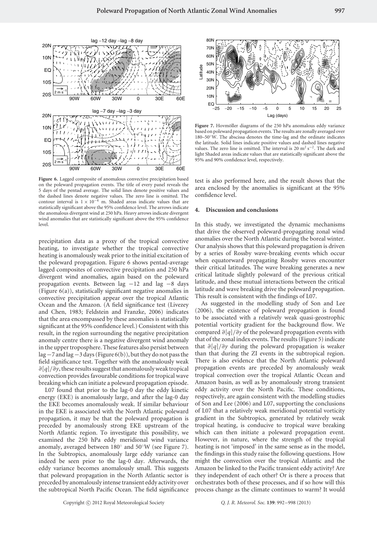



**Figure 6.** Lagged composite of anomalous convective precipitation based on the poleward propagation events. The title of every panel reveals the 5 days of the pentad average. The solid lines denote positive values and the dashed lines denote negative values. The zero line is omitted. The contour interval is  $1 \times 10^{-4}$  m. Shaded areas indicate values that are statistically significant above the 95% confidence level. The arrows indicate the anomalous divergent wind at 250 hPa. Heavy arrows indicate divergent wind anomalies that are statistically significant above the 95% confidence level.

precipitation data as a proxy of the tropical convective heating, to investigate whether the tropical convective heating is anomalously weak prior to the initial excitation of the poleward propagation. Figure 6 shows pentad-average lagged composites of convective precipitation and 250 hPa divergent wind anomalies, again based on the poleward propagation events. Between lag −12 and lag −8 days (Figure 6(a)), statistically significant negative anomalies in convective precipitation appear over the tropical Atlantic Ocean and the Amazon. (A field significance test (Livezey and Chen, 1983; Feldstein and Franzke, 2006) indicates that the area encompassed by these anomalies is statistically significant at the 95% confidence level.) Consistent with this result, in the region surrounding the negative precipitation anomaly centre there is a negative divergent wind anomaly in the upper troposphere. These features also persist between lag−7 and lag−3 days (Figure 6(b)), but they do not pass the field significance test. Together with the anomalously weak *∂*[*q*]*/∂y*, these results suggest that anomalously weak tropical convection provides favourable conditions for tropical wave breaking which can initiate a poleward propagation episode.

L07 found that prior to the lag-0 day the eddy kinetic energy (EKE) is anomalously large, and after the lag-0 day the EKE becomes anomalously weak. If similar behaviour in the EKE is associated with the North Atlantic poleward propagation, it may be that the poleward propagation is preceded by anomalously strong EKE upstream of the North Atlantic region. To investigate this possibility, we examined the 250 hPa eddy meridional wind variance anomaly, averaged between 180◦ and 50◦W (see Figure 7). In the Subtropics, anomalously large eddy variance can indeed be seen prior to the lag-0 day. Afterwards, the eddy variance becomes anomalously small. This suggests that poleward propagation in the North Atlantic sector is preceded by anomalously intense transient eddy activity over the subtropical North Pacific Ocean. The field significance



Figure 7. Hovmöller diagrams of the 250 hPa anomalous eddy variance based on poleward propagation events. The results are zonally averaged over 180–50◦W. The abscissa denotes the time-lag and the ordinate indicates the latitude. Solid lines indicate positive values and dashed lines negative values. The zero line is omitted. The interval is 20  $m^2 s^{-2}$ . The dark and light Shaded areas indicate values that are statistically significant above the 95% and 90% confidence level, respectively.

test is also performed here, and the result shows that the area enclosed by the anomalies is significant at the 95% confidence level.

### **4. Discussion and conclusions**

In this study, we investigated the dynamic mechanisms that drive the observed poleward-propagating zonal wind anomalies over the North Atlantic during the boreal winter. Our analysis shows that this poleward propagation is driven by a series of Rossby wave-breaking events which occur when equatorward propagating Rossby waves encounter their critical latitudes. The wave breaking generates a new critical latitude slightly poleward of the previous critical latitude, and these mutual interactions between the critical latitude and wave breaking drive the poleward propagation. This result is consistent with the findings of L07.

As suggested in the modelling study of Son and Lee (2006), the existence of poleward propagation is found to be associated with a relatively weak quasi-geostrophic potential vorticity gradient for the background flow. We compared *∂*[*q*]*/∂y* of the poleward propagation events with that of the zonal index events. The results (Figure 5) indicate that *∂*[*q*]*/∂y* during the poleward propagation is weaker than that during the ZI events in the subtropical region. There is also evidence that the North Atlantic poleward propagation events are preceded by anomalously weak tropical convection over the tropical Atlantic Ocean and Amazon basin, as well as by anomalously strong transient eddy activity over the North Pacific. These conditions, respectively, are again consistent with the modelling studies of Son and Lee (2006) and L07, supporting the conclusions of L07 that a relatively weak meridional potential vorticity gradient in the Subtropics, generated by relatively weak tropical heating, is conducive to tropical wave breaking which can then initiate a poleward propagation event. However, in nature, where the strength of the tropical heating is not 'imposed' in the same sense as in the model, the findings in this study raise the following questions. How might the convection over the tropical Atlantic and the Amazon be linked to the Pacific transient eddy activity? Are they independent of each other? Or is there a process that orchestrates both of these processes, and if so how will this process change as the climate continues to warm? It would